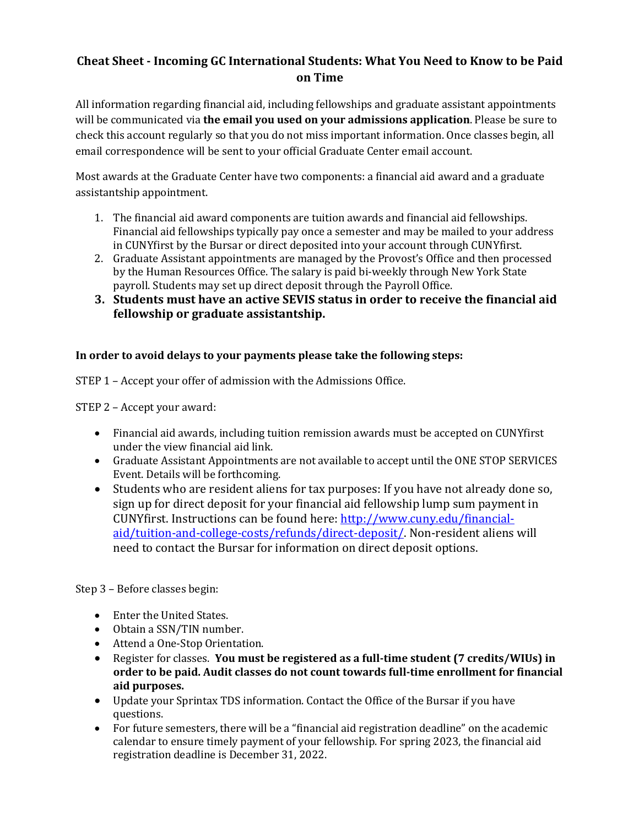## **Cheat Sheet - Incoming GC International Students: What You Need to Know to be Paid on Time**

All information regarding financial aid, including fellowships and graduate assistant appointments will be communicated via the email you used on your admissions application. Please be sure to check this account regularly so that you do not miss important information. Once classes begin, all email correspondence will be sent to your official Graduate Center email account.

Most awards at the Graduate Center have two components: a financial aid award and a graduate assistantship appointment.

- 1. The financial aid award components are tuition awards and financial aid fellowships. Financial aid fellowships typically pay once a semester and may be mailed to your address in CUNYfirst by the Bursar or direct deposited into your account through CUNYfirst.
- 2. Graduate Assistant appointments are managed by the Provost's Office and then processed by the Human Resources Office. The salary is paid bi-weekly through New York State payroll. Students may set up direct deposit through the Payroll Office.
- **3.** Students must have an active SEVIS status in order to receive the financial aid **fellowship or graduate assistantship.**

## In order to avoid delays to your payments please take the following steps:

STEP 1 - Accept your offer of admission with the Admissions Office.

STEP 2 - Accept your award:

- Financial aid awards, including tuition remission awards must be accepted on CUNYfirst under the view financial aid link.
- Graduate Assistant Appointments are not available to accept until the ONE STOP SERVICES Event. Details will be forthcoming.
- Students who are resident aliens for tax purposes: If you have not already done so, sign up for direct deposit for your financial aid fellowship lump sum payment in CUNYfirst. Instructions can be found here: http://www.cuny.edu/financialaid/tuition-and-college-costs/refunds/direct-deposit/. Non-resident aliens will need to contact the Bursar for information on direct deposit options.

Step 3 - Before classes begin:

- Enter the United States.
- Obtain a SSN/TIN number.
- Attend a One-Stop Orientation.
- Register for classes. You must be registered as a full-time student (7 credits/WIUs) in order to be paid. Audit classes do not count towards full-time enrollment for financial **aid purposes.**
- Update your Sprintax TDS information. Contact the Office of the Bursar if you have questions.
- For future semesters, there will be a "financial aid registration deadline" on the academic calendar to ensure timely payment of your fellowship. For spring 2023, the financial aid registration deadline is December 31, 2022.